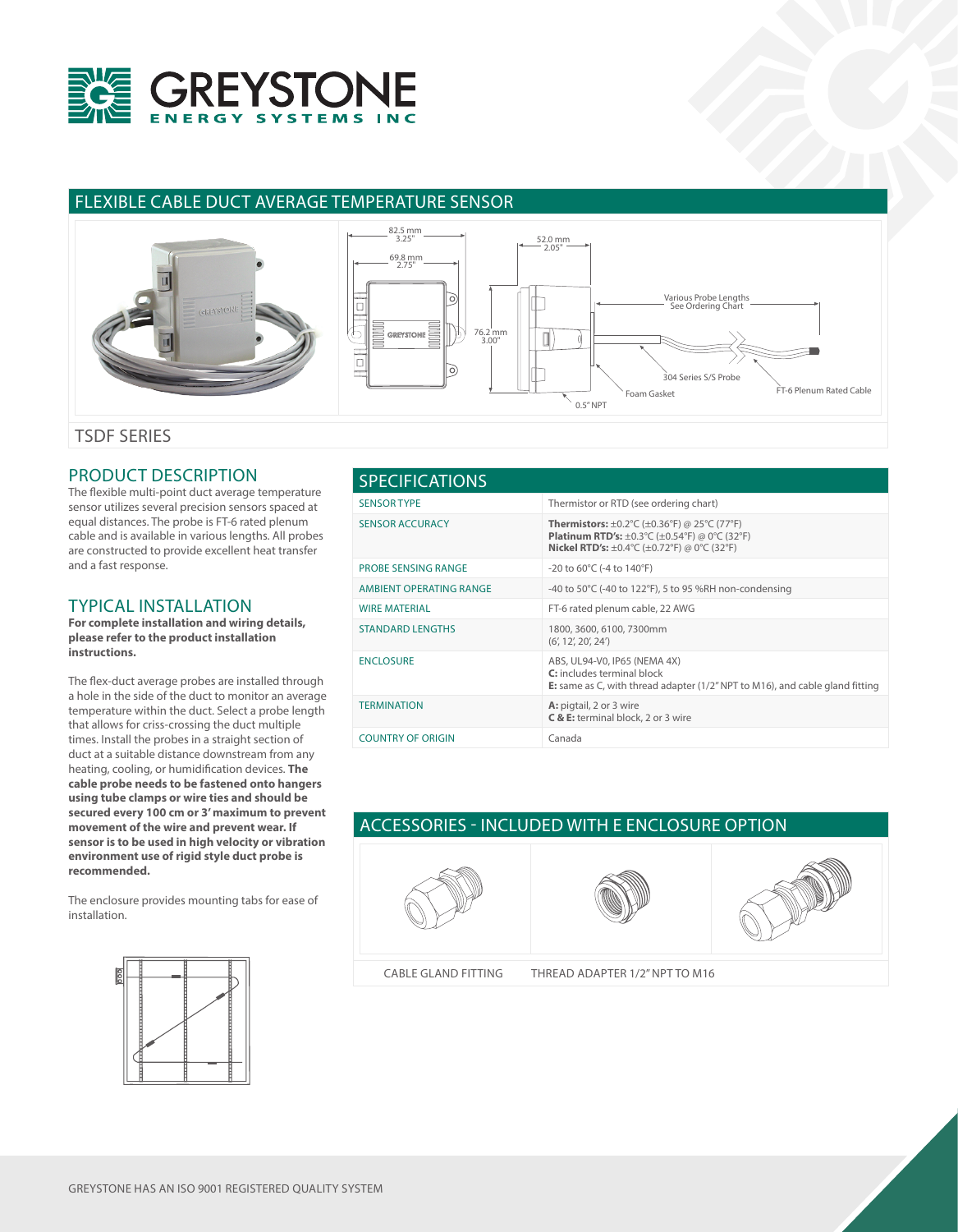

## FLEXIBLE CABLE DUCT AVERAGE TEMPERATURE SENSOR



## PRODUCT DESCRIPTION

The flexible multi-point duct average temperature sensor utilizes several precision sensors spaced at equal distances. The probe is FT-6 rated plenum cable and is available in various lengths. All probes are constructed to provide excellent heat transfer and a fast response.

## TYPICAL INSTALLATION

**For complete installation and wiring details, please refer to the product installation instructions.**

The flex-duct average probes are installed through a hole in the side of the duct to monitor an average temperature within the duct. Select a probe length that allows for criss-crossing the duct multiple times. Install the probes in a straight section of duct at a suitable distance downstream from any heating, cooling, or humidification devices. **The cable probe needs to be fastened onto hangers using tube clamps or wire ties and should be secured every 100 cm or 3' maximum to prevent movement of the wire and prevent wear. If sensor is to be used in high velocity or vibration environment use of rigid style duct probe is recommended.**

The enclosure provides mounting tabs for ease of installation.

| <b>SPECIFICATIONS</b>      |                                                                                                                                                                                                                                                                                                                     |  |  |  |
|----------------------------|---------------------------------------------------------------------------------------------------------------------------------------------------------------------------------------------------------------------------------------------------------------------------------------------------------------------|--|--|--|
| <b>SENSOR TYPE</b>         | Thermistor or RTD (see ordering chart)                                                                                                                                                                                                                                                                              |  |  |  |
| <b>SENSOR ACCURACY</b>     | <b>Thermistors:</b> $\pm 0.2^{\circ}$ C ( $\pm 0.36^{\circ}$ F) @ 25 $^{\circ}$ C (77 $^{\circ}$ F)<br><b>Platinum RTD's:</b> $\pm 0.3^{\circ}$ C ( $\pm 0.54^{\circ}$ F) @ 0 $^{\circ}$ C (32 $^{\circ}$ F)<br><b>Nickel RTD's:</b> $\pm 0.4^{\circ}$ C ( $\pm 0.72^{\circ}$ F) @ 0 $^{\circ}$ C (32 $^{\circ}$ F) |  |  |  |
| <b>PROBE SENSING RANGE</b> | $-20$ to 60°C (-4 to 140°F)                                                                                                                                                                                                                                                                                         |  |  |  |
| AMBIENT OPERATING RANGE    | -40 to 50°C (-40 to 122°F), 5 to 95 %RH non-condensing                                                                                                                                                                                                                                                              |  |  |  |
| <b>WIRE MATERIAL</b>       | FT-6 rated plenum cable, 22 AWG                                                                                                                                                                                                                                                                                     |  |  |  |
| <b>STANDARD LENGTHS</b>    | 1800, 3600, 6100, 7300mm<br>(6', 12', 20', 24')                                                                                                                                                                                                                                                                     |  |  |  |
| <b>ENCLOSURE</b>           | ABS, UL94-V0, IP65 (NEMA 4X)<br>C: includes terminal block<br><b>E:</b> same as C, with thread adapter $(1/2n NPT$ to M16), and cable gland fitting                                                                                                                                                                 |  |  |  |
| <b>TERMINATION</b>         | A: pigtail, 2 or 3 wire<br>C & E: terminal block, 2 or 3 wire                                                                                                                                                                                                                                                       |  |  |  |
| <b>COUNTRY OF ORIGIN</b>   | Canada                                                                                                                                                                                                                                                                                                              |  |  |  |

## ACCESSORIES - INCLUDED WITH E ENCLOSURE OPTION







CABLE GLAND FITTING THREAD ADAPTER 1/2" NPT TO M16